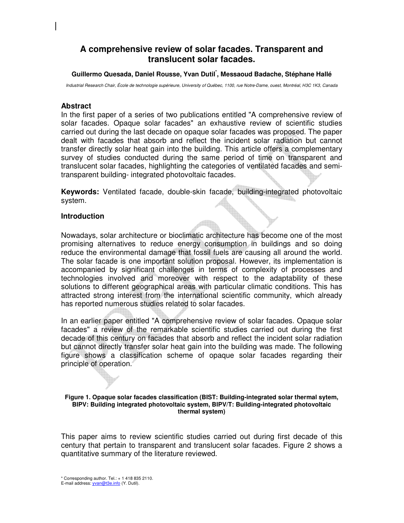# **A comprehensive review of solar facades. Transparent and translucent solar facades.**

#### **Guillermo Quesada, Daniel Rousse, Yvan Dutil\* , Messaoud Badache, Stéphane Hallé**

Industrial Research Chair, École de technologie supérieure, University of Québec, 1100, rue Notre-Dame, ouest, Montréal, H3C 1K3, Canada

#### **Abstract**

In the first paper of a series of two publications entitled "A comprehensive review of solar facades. Opaque solar facades" an exhaustive review of scientific studies carried out during the last decade on opaque solar facades was proposed. The paper dealt with facades that absorb and reflect the incident solar radiation but cannot transfer directly solar heat gain into the building. This article offers a complementary survey of studies conducted during the same period of time on transparent and translucent solar facades, highlighting the categories of ventilated facades and semitransparent building- integrated photovoltaic facades.

**Keywords:** Ventilated facade, double-skin facade, building-integrated photovoltaic system.

### **Introduction**

Nowadays, solar architecture or bioclimatic architecture has become one of the most promising alternatives to reduce energy consumption in buildings and so doing reduce the environmental damage that fossil fuels are causing all around the world. The solar facade is one important solution proposal. However, its implementation is accompanied by significant challenges in terms of complexity of processes and technologies involved and moreover with respect to the adaptability of these solutions to different geographical areas with particular climatic conditions. This has attracted strong interest from the international scientific community, which already has reported numerous studies related to solar facades.

In an earlier paper entitled "A comprehensive review of solar facades. Opaque solar facades" a review of the remarkable scientific studies carried out during the first decade of this century on facades that absorb and reflect the incident solar radiation but cannot directly transfer solar heat gain into the building was made. The following figure shows a classification scheme of opaque solar facades regarding their principle of operation.

#### **Figure 1. Opaque solar facades classification (BIST: Building-integrated solar thermal sytem, BIPV: Building integrated photovoltaic system, BIPV/T: Building-integrated photovoltaic thermal system)**

This paper aims to review scientific studies carried out during first decade of this century that pertain to transparent and translucent solar facades. Figure 2 shows a quantitative summary of the literature reviewed.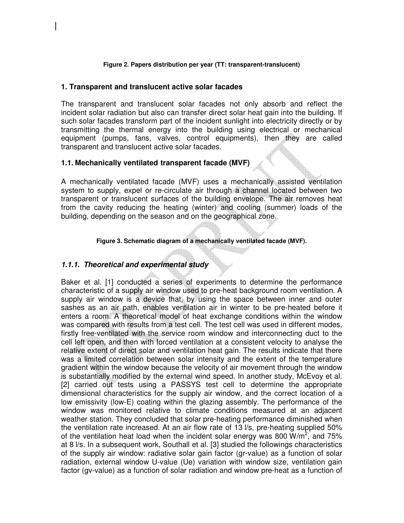#### **Figure 2. Papers distribution per year (TT: transparent-translucent)**

### **1. Transparent and translucent active solar facades**

The transparent and translucent solar facades not only absorb and reflect the incident solar radiation but also can transfer direct solar heat gain into the building. If such solar facades transform part of the incident sunlight into electricity directly or by transmitting the thermal energy into the building using electrical or mechanical equipment (pumps, fans, valves, control equipments), then they are called transparent and translucent active solar facades.

## **1.1. Mechanically ventilated transparent facade (MVF)**

A mechanically ventilated facade (MVF) uses a mechanically assisted ventilation system to supply, expel or re-circulate air through a channel located between two transparent or translucent surfaces of the building envelope. The air removes heat from the cavity reducing the heating (winter) and cooling (summer) loads of the building, depending on the season and on the geographical zone.

#### **Figure 3. Schematic diagram of a mechanically ventilated facade (MVF).**

## **1.1.1. Theoretical and experimental study**

Baker et al. [1] conducted a series of experiments to determine the performance characteristic of a supply air window used to pre-heat background room ventilation. A supply air window is a device that, by using the space between inner and outer sashes as an air path, enables ventilation air in winter to be pre-heated before it enters a room. A theoretical model of heat exchange conditions within the window was compared with results from a test cell. The test cell was used in different modes, firstly free-ventilated with the service room window and interconnecting duct to the cell left open, and then with forced ventilation at a consistent velocity to analyse the relative extent of direct solar and ventilation heat gain. The results indicate that there was a limited correlation between solar intensity and the extent of the temperature gradient within the window because the velocity of air movement through the window is substantially modified by the external wind speed. In another study, McEvoy et al. [2] carried out tests using a PASSYS test cell to determine the appropriate dimensional characteristics for the supply air window, and the correct location of a low emissivity (low-E) coating within the glazing assembly. The performance of the window was monitored relative to climate conditions measured at an adjacent weather station. They concluded that solar pre-heating performance diminished when the ventilation rate increased. At an air flow rate of 13 l/s, pre-heating supplied 50% of the ventilation heat load when the incident solar energy was 800  $\text{W/m}^2$ , and 75% at 8 l/s. In a subsequent work, Southall et al. [3] studied the followings characteristics of the supply air window: radiative solar gain factor (gr-value) as a function of solar radiation, external window U-value (Ue) variation with window size, ventilation gain factor (gv-value) as a function of solar radiation and window pre-heat as a function of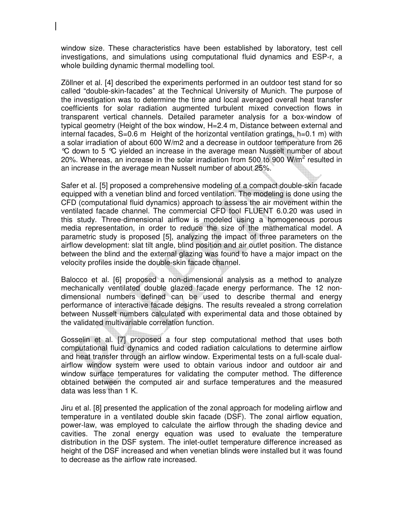window size. These characteristics have been established by laboratory, test cell investigations, and simulations using computational fluid dynamics and ESP-r, a whole building dynamic thermal modelling tool.

Zöllner et al. [4] described the experiments performed in an outdoor test stand for so called "double-skin-facades" at the Technical University of Munich. The purpose of the investigation was to determine the time and local averaged overall heat transfer coefficients for solar radiation augmented turbulent mixed convection flows in transparent vertical channels. Detailed parameter analysis for a box-window of typical geometry (Height of the box window, H=2.4 m, Distance between external and internal facades,  $S=0.6$  m Height of the horizontal ventilation gratings,  $h=0.1$  m) with a solar irradiation of about 600 W/m2 and a decrease in outdoor temperature from 26 °C down to 5 °C yielded an increase in the average mean Nusselt number of about 20%. Whereas, an increase in the solar irradiation from 500 to 900  $W/m^2$  resulted in an increase in the average mean Nusselt number of about 25%.

Safer et al. [5] proposed a comprehensive modeling of a compact double-skin facade equipped with a venetian blind and forced ventilation. The modeling is done using the CFD (computational fluid dynamics) approach to assess the air movement within the ventilated facade channel. The commercial CFD tool FLUENT 6.0.20 was used in this study. Three-dimensional airflow is modeled using a homogeneous porous media representation, in order to reduce the size of the mathematical model. A parametric study is proposed [5], analyzing the impact of three parameters on the airflow development: slat tilt angle, blind position and air outlet position. The distance between the blind and the external glazing was found to have a major impact on the velocity profiles inside the double-skin facade channel.

Balocco et al. [6] proposed a non-dimensional analysis as a method to analyze mechanically ventilated double glazed facade energy performance. The 12 nondimensional numbers defined can be used to describe thermal and energy performance of interactive facade designs. The results revealed a strong correlation between Nusselt numbers calculated with experimental data and those obtained by the validated multivariable correlation function.

Gosselin et al. [7] proposed a four step computational method that uses both computational fluid dynamics and coded radiation calculations to determine airflow and heat transfer through an airflow window. Experimental tests on a full-scale dualairflow window system were used to obtain various indoor and outdoor air and window surface temperatures for validating the computer method. The difference obtained between the computed air and surface temperatures and the measured data was less than 1 K.

Jiru et al. [8] presented the application of the zonal approach for modeling airflow and temperature in a ventilated double skin facade (DSF). The zonal airflow equation, power-law, was employed to calculate the airflow through the shading device and cavities. The zonal energy equation was used to evaluate the temperature distribution in the DSF system. The inlet-outlet temperature difference increased as height of the DSF increased and when venetian blinds were installed but it was found to decrease as the airflow rate increased.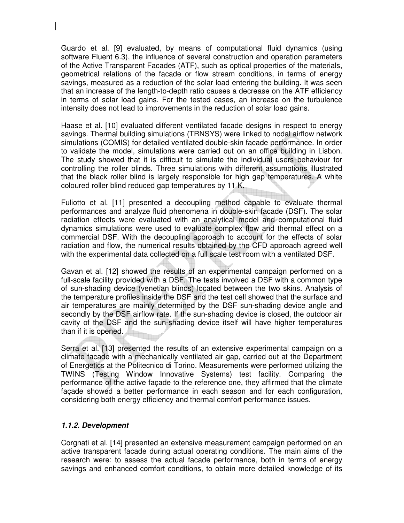Guardo et al. [9] evaluated, by means of computational fluid dynamics (using software Fluent 6.3), the influence of several construction and operation parameters of the Active Transparent Facades (ATF), such as optical properties of the materials, geometrical relations of the facade or flow stream conditions, in terms of energy savings, measured as a reduction of the solar load entering the building. It was seen that an increase of the length-to-depth ratio causes a decrease on the ATF efficiency in terms of solar load gains. For the tested cases, an increase on the turbulence intensity does not lead to improvements in the reduction of solar load gains.

Haase et al. [10] evaluated different ventilated facade designs in respect to energy savings. Thermal building simulations (TRNSYS) were linked to nodal airflow network simulations (COMIS) for detailed ventilated double-skin facade performance. In order to validate the model, simulations were carried out on an office building in Lisbon. The study showed that it is difficult to simulate the individual users behaviour for controlling the roller blinds. Three simulations with different assumptions illustrated that the black roller blind is largely responsible for high gap temperatures. A white coloured roller blind reduced gap temperatures by 11 K.

Fuliotto et al. [11] presented a decoupling method capable to evaluate thermal performances and analyze fluid phenomena in double-skin facade (DSF). The solar radiation effects were evaluated with an analytical model and computational fluid dynamics simulations were used to evaluate complex flow and thermal effect on a commercial DSF. With the decoupling approach to account for the effects of solar radiation and flow, the numerical results obtained by the CFD approach agreed well with the experimental data collected on a full scale test room with a ventilated DSF.

Gavan et al. [12] showed the results of an experimental campaign performed on a full-scale facility provided with a DSF. The tests involved a DSF with a common type of sun-shading device (venetian blinds) located between the two skins. Analysis of the temperature profiles inside the DSF and the test cell showed that the surface and air temperatures are mainly determined by the DSF sun-shading device angle and secondly by the DSF airflow rate. If the sun-shading device is closed, the outdoor air cavity of the DSF and the sun-shading device itself will have higher temperatures than if it is opened.

Serra et al. [13] presented the results of an extensive experimental campaign on a climate facade with a mechanically ventilated air gap, carried out at the Department of Energetics at the Politecnico di Torino. Measurements were performed utilizing the TWINS (Testing Window Innovative Systems) test facility. Comparing the performance of the active façade to the reference one, they affirmed that the climate façade showed a better performance in each season and for each configuration, considering both energy efficiency and thermal comfort performance issues.

## **1.1.2. Development**

Corgnati et al. [14] presented an extensive measurement campaign performed on an active transparent facade during actual operating conditions. The main aims of the research were: to assess the actual facade performance, both in terms of energy savings and enhanced comfort conditions, to obtain more detailed knowledge of its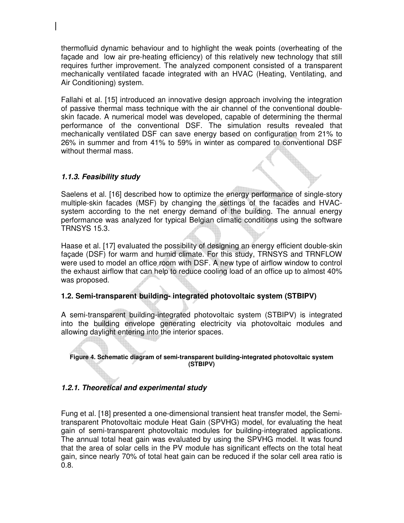thermofluid dynamic behaviour and to highlight the weak points (overheating of the façade and low air pre-heating efficiency) of this relatively new technology that still requires further improvement. The analyzed component consisted of a transparent mechanically ventilated facade integrated with an HVAC (Heating, Ventilating, and Air Conditioning) system.

Fallahi et al. [15] introduced an innovative design approach involving the integration of passive thermal mass technique with the air channel of the conventional doubleskin facade. A numerical model was developed, capable of determining the thermal performance of the conventional DSF. The simulation results revealed that mechanically ventilated DSF can save energy based on configuration from 21% to 26% in summer and from 41% to 59% in winter as compared to conventional DSF without thermal mass.

# **1.1.3. Feasibility study**

Saelens et al. [16] described how to optimize the energy performance of single-story multiple-skin facades (MSF) by changing the settings of the facades and HVACsystem according to the net energy demand of the building. The annual energy performance was analyzed for typical Belgian climatic conditions using the software TRNSYS 15.3.

Haase et al. [17] evaluated the possibility of designing an energy efficient double-skin façade (DSF) for warm and humid climate. For this study, TRNSYS and TRNFLOW were used to model an office room with DSF. A new type of airflow window to control the exhaust airflow that can help to reduce cooling load of an office up to almost 40% was proposed.

# **1.2. Semi-transparent building- integrated photovoltaic system (STBIPV)**

A semi-transparent building-integrated photovoltaic system (STBIPV) is integrated into the building envelope generating electricity via photovoltaic modules and allowing daylight entering into the interior spaces.

#### **Figure 4. Schematic diagram of semi-transparent building-integrated photovoltaic system (STBIPV)**

# **1.2.1. Theoretical and experimental study**

Fung et al. [18] presented a one-dimensional transient heat transfer model, the Semitransparent Photovoltaic module Heat Gain (SPVHG) model, for evaluating the heat gain of semi-transparent photovoltaic modules for building-integrated applications. The annual total heat gain was evaluated by using the SPVHG model. It was found that the area of solar cells in the PV module has significant effects on the total heat gain, since nearly 70% of total heat gain can be reduced if the solar cell area ratio is 0.8.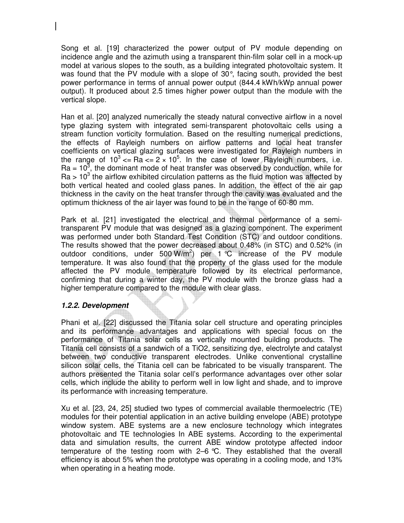Song et al. [19] characterized the power output of PV module depending on incidence angle and the azimuth using a transparent thin-film solar cell in a mock-up model at various slopes to the south, as a building integrated photovoltaic system. It was found that the PV module with a slope of 30°, facing south, provided the best power performance in terms of annual power output (844.4 kWh/kWp annual power output). It produced about 2.5 times higher power output than the module with the vertical slope.

Han et al. [20] analyzed numerically the steady natural convective airflow in a novel type glazing system with integrated semi-transparent photovoltaic cells using a stream function vorticity formulation. Based on the resulting numerical predictions, the effects of Rayleigh numbers on airflow patterns and local heat transfer coefficients on vertical glazing surfaces were investigated for Rayleigh numbers in the range of  $10^3 \leq R$  =  $2 \times 10^5$ . In the case of lower Rayleigh numbers, i.e.  $\text{Ra} = 10^3$ , the dominant mode of heat transfer was observed by conduction, while for Ra >  $10^3$  the airflow exhibited circulation patterns as the fluid motion was affected by both vertical heated and cooled glass panes. In addition, the effect of the air gap thickness in the cavity on the heat transfer through the cavity was evaluated and the optimum thickness of the air layer was found to be in the range of 60-80 mm.

Park et al. [21] investigated the electrical and thermal performance of a semitransparent PV module that was designed as a glazing component. The experiment was performed under both Standard Test Condition (STC) and outdoor conditions. The results showed that the power decreased about 0.48% (in STC) and 0.52% (in outdoor conditions, under  $500 \text{ W/m}^2$ ) per 1 °C increase of the PV module temperature. It was also found that the property of the glass used for the module affected the PV module temperature followed by its electrical performance, confirming that during a winter day, the PV module with the bronze glass had a higher temperature compared to the module with clear glass.

## **1.2.2. Development**

Phani et al. [22] discussed the Titania solar cell structure and operating principles and its performance advantages and applications with special focus on the performance of Titania solar cells as vertically mounted building products. The Titania cell consists of a sandwich of a TiO2, sensitizing dye, electrolyte and catalyst between two conductive transparent electrodes. Unlike conventional crystalline silicon solar cells, the Titania cell can be fabricated to be visually transparent. The authors presented the Titania solar cell's performance advantages over other solar cells, which include the ability to perform well in low light and shade, and to improve its performance with increasing temperature.

Xu et al. [23, 24, 25] studied two types of commercial available thermoelectric (TE) modules for their potential application in an active building envelope (ABE) prototype window system. ABE systems are a new enclosure technology which integrates photovoltaic and TE technologies In ABE systems. According to the experimental data and simulation results, the current ABE window prototype affected indoor temperature of the testing room with  $2-6$  °C. They established that the overall efficiency is about 5% when the prototype was operating in a cooling mode, and 13% when operating in a heating mode.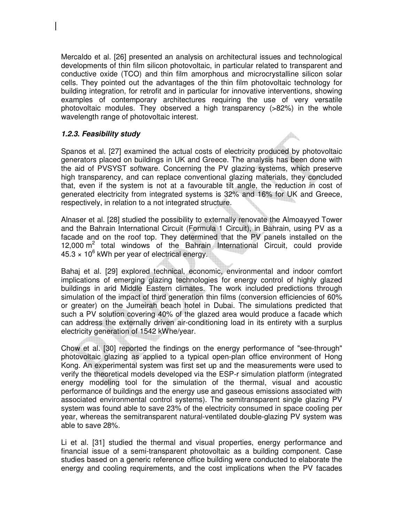Mercaldo et al. [26] presented an analysis on architectural issues and technological developments of thin film silicon photovoltaic, in particular related to transparent and conductive oxide (TCO) and thin film amorphous and microcrystalline silicon solar cells. They pointed out the advantages of the thin film photovoltaic technology for building integration, for retrofit and in particular for innovative interventions, showing examples of contemporary architectures requiring the use of very versatile photovoltaic modules. They observed a high transparency (>82%) in the whole wavelength range of photovoltaic interest.

# **1.2.3. Feasibility study**

Spanos et al. [27] examined the actual costs of electricity produced by photovoltaic generators placed on buildings in UK and Greece. The analysis has been done with the aid of PVSYST software. Concerning the PV glazing systems, which preserve high transparency, and can replace conventional glazing materials, they concluded that, even if the system is not at a favourable tilt angle, the reduction in cost of generated electricity from integrated systems is 32% and 16% for UK and Greece, respectively, in relation to a not integrated structure.

đ.

Alnaser et al. [28] studied the possibility to externally renovate the Almoayyed Tower and the Bahrain International Circuit (Formula 1 Circuit), in Bahrain, using PV as a facade and on the roof top. They determined that the PV panels installed on the 12,000 m<sup>2</sup> total windows of the Bahrain International Circuit, could provide  $45.3 \times 10^6$  kWh per year of electrical energy.

Bahaj et al. [29] explored technical, economic, environmental and indoor comfort implications of emerging glazing technologies for energy control of highly glazed buildings in arid Middle Eastern climates. The work included predictions through simulation of the impact of third generation thin films (conversion efficiencies of 60% or greater) on the Jumeirah beach hotel in Dubai. The simulations predicted that such a PV solution covering 40% of the glazed area would produce a facade which can address the externally driven air-conditioning load in its entirety with a surplus electricity generation of 1542 kWhe/year.

Chow et al. [30] reported the findings on the energy performance of "see-through" photovoltaic glazing as applied to a typical open-plan office environment of Hong Kong. An experimental system was first set up and the measurements were used to verify the theoretical models developed via the ESP-r simulation platform (integrated energy modeling tool for the simulation of the thermal, visual and acoustic performance of buildings and the energy use and gaseous emissions associated with associated environmental control systems). The semitransparent single glazing PV system was found able to save 23% of the electricity consumed in space cooling per year, whereas the semitransparent natural-ventilated double-glazing PV system was able to save 28%.

Li et al. [31] studied the thermal and visual properties, energy performance and financial issue of a semi-transparent photovoltaic as a building component. Case studies based on a generic reference office building were conducted to elaborate the energy and cooling requirements, and the cost implications when the PV facades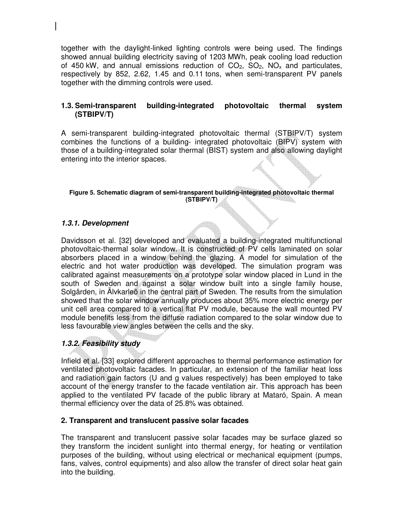together with the daylight-linked lighting controls were being used. The findings showed annual building electricity saving of 1203 MWh, peak cooling load reduction of 450 kW, and annual emissions reduction of  $CO<sub>2</sub>$ ,  $SO<sub>2</sub>$ , NO<sub>x</sub> and particulates, respectively by 852, 2.62, 1.45 and 0.11 tons, when semi-transparent PV panels together with the dimming controls were used.

### **1.3. Semi-transparent building-integrated photovoltaic thermal system (STBIPV/T)**

A semi-transparent building-integrated photovoltaic thermal (STBIPV/T) system combines the functions of a building- integrated photovoltaic (BIPV) system with those of a building-integrated solar thermal (BIST) system and also allowing daylight entering into the interior spaces.

#### **Figure 5. Schematic diagram of semi-transparent building-integrated photovoltaic thermal (STBIPV/T)**

## **1.3.1. Development**

Davidsson et al. [32] developed and evaluated a building-integrated multifunctional photovoltaic-thermal solar window. It is constructed of PV cells laminated on solar absorbers placed in a window behind the glazing. A model for simulation of the electric and hot water production was developed. The simulation program was calibrated against measurements on a prototype solar window placed in Lund in the south of Sweden and against a solar window built into a single family house, Solgården, in Älvkarleö in the central part of Sweden. The results from the simulation showed that the solar window annually produces about 35% more electric energy per unit cell area compared to a vertical flat PV module, because the wall mounted PV module benefits less from the diffuse radiation compared to the solar window due to less favourable view angles between the cells and the sky.

# **1.3.2. Feasibility study**

Infield et al. [33] explored different approaches to thermal performance estimation for ventilated photovoltaic facades. In particular, an extension of the familiar heat loss and radiation gain factors (U and g values respectively) has been employed to take account of the energy transfer to the facade ventilation air. This approach has been applied to the ventilated PV facade of the public library at Mataró, Spain. A mean thermal efficiency over the data of 25.8% was obtained.

#### **2. Transparent and translucent passive solar facades**

The transparent and translucent passive solar facades may be surface glazed so they transform the incident sunlight into thermal energy, for heating or ventilation purposes of the building, without using electrical or mechanical equipment (pumps, fans, valves, control equipments) and also allow the transfer of direct solar heat gain into the building.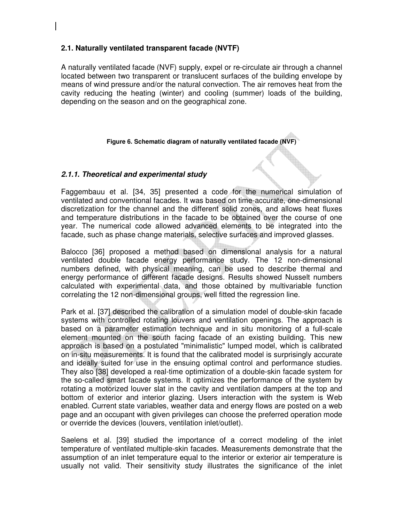# **2.1. Naturally ventilated transparent facade (NVTF)**

A naturally ventilated facade (NVF) supply, expel or re-circulate air through a channel located between two transparent or translucent surfaces of the building envelope by means of wind pressure and/or the natural convection. The air removes heat from the cavity reducing the heating (winter) and cooling (summer) loads of the building, depending on the season and on the geographical zone.

### **Figure 6. Schematic diagram of naturally ventilated facade (NVF)**

## **2.1.1. Theoretical and experimental study**

Faggembauu et al. [34, 35] presented a code for the numerical simulation of ventilated and conventional facades. It was based on time-accurate, one-dimensional discretization for the channel and the different solid zones, and allows heat fluxes and temperature distributions in the facade to be obtained over the course of one year. The numerical code allowed advanced elements to be integrated into the facade, such as phase change materials, selective surfaces and improved glasses.

Balocco [36] proposed a method based on dimensional analysis for a natural ventilated double facade energy performance study. The 12 non-dimensional numbers defined, with physical meaning, can be used to describe thermal and energy performance of different facade designs. Results showed Nusselt numbers calculated with experimental data, and those obtained by multivariable function correlating the 12 non-dimensional groups, well fitted the regression line.

Park et al. [37] described the calibration of a simulation model of double-skin facade systems with controlled rotating louvers and ventilation openings. The approach is based on a parameter estimation technique and in situ monitoring of a full-scale element mounted on the south facing facade of an existing building. This new approach is based on a postulated "minimalistic" lumped model, which is calibrated on in-situ measurements. It is found that the calibrated model is surprisingly accurate and ideally suited for use in the ensuing optimal control and performance studies. They also [38] developed a real-time optimization of a double-skin facade system for the so-called smart facade systems. It optimizes the performance of the system by rotating a motorized louver slat in the cavity and ventilation dampers at the top and bottom of exterior and interior glazing. Users interaction with the system is Web enabled. Current state variables, weather data and energy flows are posted on a web page and an occupant with given privileges can choose the preferred operation mode or override the devices (louvers, ventilation inlet/outlet).

Saelens et al. [39] studied the importance of a correct modeling of the inlet temperature of ventilated multiple-skin facades. Measurements demonstrate that the assumption of an inlet temperature equal to the interior or exterior air temperature is usually not valid. Their sensitivity study illustrates the significance of the inlet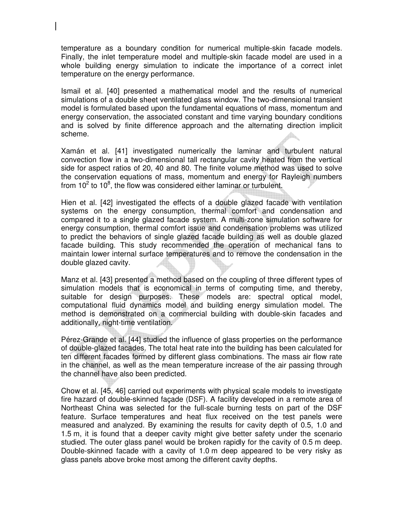temperature as a boundary condition for numerical multiple-skin facade models. Finally, the inlet temperature model and multiple-skin facade model are used in a whole building energy simulation to indicate the importance of a correct inlet temperature on the energy performance.

Ismail et al. [40] presented a mathematical model and the results of numerical simulations of a double sheet ventilated glass window. The two-dimensional transient model is formulated based upon the fundamental equations of mass, momentum and energy conservation, the associated constant and time varying boundary conditions and is solved by finite difference approach and the alternating direction implicit scheme.

Xamán et al. [41] investigated numerically the laminar and turbulent natural convection flow in a two-dimensional tall rectangular cavity heated from the vertical side for aspect ratios of 20, 40 and 80. The finite volume method was used to solve the conservation equations of mass, momentum and energy for Rayleigh numbers from  $10^2$  to  $10^8$ , the flow was considered either laminar or turbulent.

Hien et al. [42] investigated the effects of a double glazed facade with ventilation systems on the energy consumption, thermal comfort and condensation and compared it to a single glazed facade system. A multi-zone simulation software for energy consumption, thermal comfort issue and condensation problems was utilized to predict the behaviors of single glazed facade building as well as double glazed facade building. This study recommended the operation of mechanical fans to maintain lower internal surface temperatures and to remove the condensation in the double glazed cavity.

Manz et al. [43] presented a method based on the coupling of three different types of simulation models that is economical in terms of computing time, and thereby, suitable for design purposes. These models are: spectral optical model, computational fluid dynamics model and building energy simulation model. The method is demonstrated on a commercial building with double-skin facades and additionally, night-time ventilation.

Pérez-Grande et al. [44] studied the influence of glass properties on the performance of double-glazed facades. The total heat rate into the building has been calculated for ten different facades formed by different glass combinations. The mass air flow rate in the channel, as well as the mean temperature increase of the air passing through the channel have also been predicted.

Chow et al. [45, 46] carried out experiments with physical scale models to investigate fire hazard of double-skinned façade (DSF). A facility developed in a remote area of Northeast China was selected for the full-scale burning tests on part of the DSF feature. Surface temperatures and heat flux received on the test panels were measured and analyzed. By examining the results for cavity depth of 0.5, 1.0 and 1.5 m, it is found that a deeper cavity might give better safety under the scenario studied. The outer glass panel would be broken rapidly for the cavity of 0.5 m deep. Double-skinned facade with a cavity of 1.0 m deep appeared to be very risky as glass panels above broke most among the different cavity depths.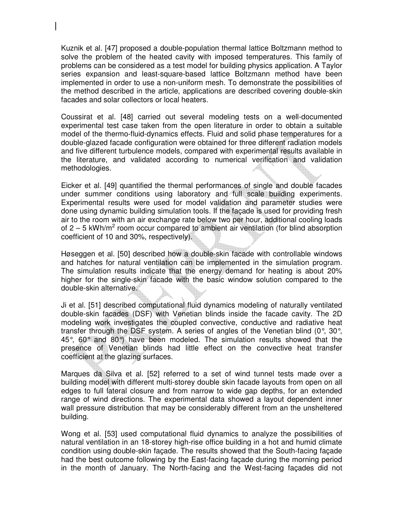Kuznik et al. [47] proposed a double-population thermal lattice Boltzmann method to solve the problem of the heated cavity with imposed temperatures. This family of problems can be considered as a test model for building physics application. A Taylor series expansion and least-square-based lattice Boltzmann method have been implemented in order to use a non-uniform mesh. To demonstrate the possibilities of the method described in the article, applications are described covering double-skin facades and solar collectors or local heaters.

Coussirat et al. [48] carried out several modeling tests on a well-documented experimental test case taken from the open literature in order to obtain a suitable model of the thermo-fluid-dynamics effects. Fluid and solid phase temperatures for a double-glazed facade configuration were obtained for three different radiation models and five different turbulence models, compared with experimental results available in the literature, and validated according to numerical verification and validation methodologies.

Eicker et al. [49] quantified the thermal performances of single and double facades under summer conditions using laboratory and full scale building experiments. Experimental results were used for model validation and parameter studies were done using dynamic building simulation tools. If the façade is used for providing fresh air to the room with an air exchange rate below two per hour, additional cooling loads of  $2 - 5$  kWh/m<sup>2</sup> room occur compared to ambient air ventilation (for blind absorption coefficient of 10 and 30%, respectively).

Høseggen et al. [50] described how a double-skin facade with controllable windows and hatches for natural ventilation can be implemented in the simulation program. The simulation results indicate that the energy demand for heating is about 20% higher for the single-skin facade with the basic window solution compared to the double-skin alternative.

Ji et al. [51] described computational fluid dynamics modeling of naturally ventilated double-skin facades (DSF) with Venetian blinds inside the facade cavity. The 2D modeling work investigates the coupled convective, conductive and radiative heat transfer through the DSF system. A series of angles of the Venetian blind (0°, 30°, 45°, 60° and 80°) have been modeled. The simulation results showed that the presence of Venetian blinds had little effect on the convective heat transfer coefficient at the glazing surfaces.

Marques da Silva et al. [52] referred to a set of wind tunnel tests made over a building model with different multi-storey double skin facade layouts from open on all edges to full lateral closure and from narrow to wide gap depths, for an extended range of wind directions. The experimental data showed a layout dependent inner wall pressure distribution that may be considerably different from an the unsheltered building.

Wong et al. [53] used computational fluid dynamics to analyze the possibilities of natural ventilation in an 18-storey high-rise office building in a hot and humid climate condition using double-skin façade. The results showed that the South-facing façade had the best outcome following by the East-facing façade during the morning period in the month of January. The North-facing and the West-facing façades did not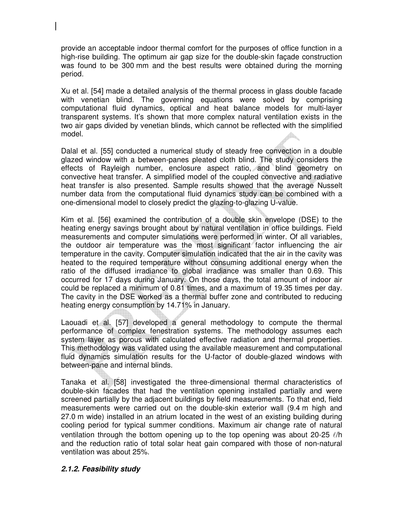provide an acceptable indoor thermal comfort for the purposes of office function in a high-rise building. The optimum air gap size for the double-skin façade construction was found to be 300 mm and the best results were obtained during the morning period.

Xu et al. [54] made a detailed analysis of the thermal process in glass double facade with venetian blind. The governing equations were solved by comprising computational fluid dynamics, optical and heat balance models for multi-layer transparent systems. It's shown that more complex natural ventilation exists in the two air gaps divided by venetian blinds, which cannot be reflected with the simplified model.

Dalal et al. [55] conducted a numerical study of steady free convection in a double glazed window with a between-panes pleated cloth blind. The study considers the effects of Rayleigh number, enclosure aspect ratio, and blind geometry on convective heat transfer. A simplified model of the coupled convective and radiative heat transfer is also presented. Sample results showed that the average Nusselt number data from the computational fluid dynamics study can be combined with a one-dimensional model to closely predict the glazing-to-glazing U-value.

Kim et al. [56] examined the contribution of a double skin envelope (DSE) to the heating energy savings brought about by natural ventilation in office buildings. Field measurements and computer simulations were performed in winter. Of all variables, the outdoor air temperature was the most significant factor influencing the air temperature in the cavity. Computer simulation indicated that the air in the cavity was heated to the required temperature without consuming additional energy when the ratio of the diffused irradiance to global irradiance was smaller than 0.69. This occurred for 17 days during January. On those days, the total amount of indoor air could be replaced a minimum of 0.81 times, and a maximum of 19.35 times per day. The cavity in the DSE worked as a thermal buffer zone and contributed to reducing heating energy consumption by 14.71% in January.

Laouadi et al. [57] developed a general methodology to compute the thermal performance of complex fenestration systems. The methodology assumes each system layer as porous with calculated effective radiation and thermal properties. This methodology was validated using the available measurement and computational fluid dynamics simulation results for the U-factor of double-glazed windows with between-pane and internal blinds.

Tanaka et al. [58] investigated the three-dimensional thermal characteristics of double-skin facades that had the ventilation opening installed partially and were screened partially by the adjacent buildings by field measurements. To that end, field measurements were carried out on the double-skin exterior wall (9.4 m high and 27.0 m wide) installed in an atrium located in the west of an existing building during cooling period for typical summer conditions. Maximum air change rate of natural ventilation through the bottom opening up to the top opening was about 20-25  $\ell$ /h and the reduction ratio of total solar heat gain compared with those of non-natural ventilation was about 25%.

## **2.1.2. Feasibility study**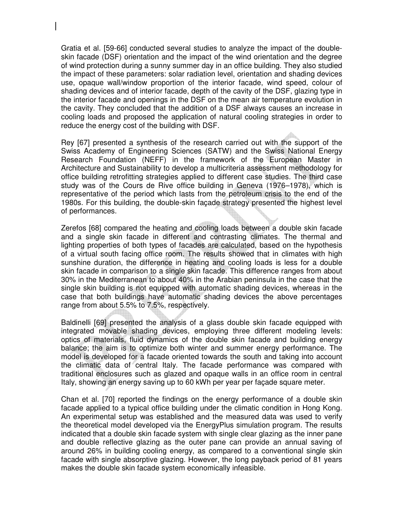Gratia et al. [59-66] conducted several studies to analyze the impact of the doubleskin facade (DSF) orientation and the impact of the wind orientation and the degree of wind protection during a sunny summer day in an office building. They also studied the impact of these parameters: solar radiation level, orientation and shading devices use, opaque wall/window proportion of the interior facade, wind speed, colour of shading devices and of interior facade, depth of the cavity of the DSF, glazing type in the interior facade and openings in the DSF on the mean air temperature evolution in the cavity. They concluded that the addition of a DSF always causes an increase in cooling loads and proposed the application of natural cooling strategies in order to reduce the energy cost of the building with DSF.

Rey [67] presented a synthesis of the research carried out with the support of the Swiss Academy of Engineering Sciences (SATW) and the Swiss National Energy Research Foundation (NEFF) in the framework of the European Master in Architecture and Sustainability to develop a multicriteria assessment methodology for office building retrofitting strategies applied to different case studies. The third case study was of the Cours de Rive office building in Geneva (1976–1978), which is representative of the period which lasts from the petroleum crisis to the end of the 1980s. For this building, the double-skin façade strategy presented the highest level of performances.

Zerefos [68] compared the heating and cooling loads between a double skin facade and a single skin facade in different and contrasting climates. The thermal and lighting properties of both types of facades are calculated, based on the hypothesis of a virtual south facing office room. The results showed that in climates with high sunshine duration, the difference in heating and cooling loads is less for a double skin facade in comparison to a single skin facade. This difference ranges from about 30% in the Mediterranean to about 40% in the Arabian peninsula in the case that the single skin building is not equipped with automatic shading devices, whereas in the case that both buildings have automatic shading devices the above percentages range from about 5.5% to 7.5%, respectively.

Baldinelli [69] presented the analysis of a glass double skin facade equipped with integrated movable shading devices, employing three different modeling levels: optics of materials, fluid dynamics of the double skin facade and building energy balance; the aim is to optimize both winter and summer energy performance. The model is developed for a facade oriented towards the south and taking into account the climatic data of central Italy. The facade performance was compared with traditional enclosures such as glazed and opaque walls in an office room in central Italy, showing an energy saving up to 60 kWh per year per façade square meter.

Chan et al. [70] reported the findings on the energy performance of a double skin facade applied to a typical office building under the climatic condition in Hong Kong. An experimental setup was established and the measured data was used to verify the theoretical model developed via the EnergyPlus simulation program. The results indicated that a double skin facade system with single clear glazing as the inner pane and double reflective glazing as the outer pane can provide an annual saving of around 26% in building cooling energy, as compared to a conventional single skin facade with single absorptive glazing. However, the long payback period of 81 years makes the double skin facade system economically infeasible.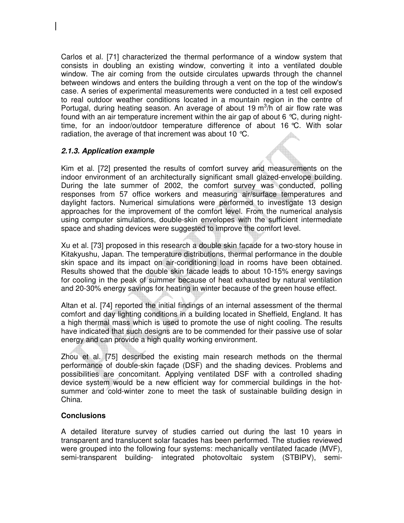Carlos et al. [71] characterized the thermal performance of a window system that consists in doubling an existing window, converting it into a ventilated double window. The air coming from the outside circulates upwards through the channel between windows and enters the building through a vent on the top of the window's case. A series of experimental measurements were conducted in a test cell exposed to real outdoor weather conditions located in a mountain region in the centre of Portugal, during heating season. An average of about 19  $m^3/n$  of air flow rate was found with an air temperature increment within the air gap of about 6  $\degree$ C, during nighttime, for an indoor/outdoor temperature difference of about 16 °C. With solar radiation, the average of that increment was about 10 °C.

# **2.1.3. Application example**

Kim et al. [72] presented the results of comfort survey and measurements on the indoor environment of an architecturally significant small glazed-envelope building. During the late summer of 2002, the comfort survey was conducted, polling responses from 57 office workers and measuring air/surface temperatures and daylight factors. Numerical simulations were performed to investigate 13 design approaches for the improvement of the comfort level. From the numerical analysis using computer simulations, double-skin envelopes with the sufficient intermediate space and shading devices were suggested to improve the comfort level.

Xu et al. [73] proposed in this research a double skin facade for a two-story house in Kitakyushu, Japan. The temperature distributions, thermal performance in the double skin space and its impact on air-conditioning load in rooms have been obtained. Results showed that the double skin facade leads to about 10-15% energy savings for cooling in the peak of summer because of heat exhausted by natural ventilation and 20-30% energy savings for heating in winter because of the green house effect.

Altan et al. [74] reported the initial findings of an internal assessment of the thermal comfort and day lighting conditions in a building located in Sheffield, England. It has a high thermal mass which is used to promote the use of night cooling. The results have indicated that such designs are to be commended for their passive use of solar energy and can provide a high quality working environment.

Zhou et al. [75] described the existing main research methods on the thermal performance of double-skin façade (DSF) and the shading devices. Problems and possibilities are concomitant. Applying ventilated DSF with a controlled shading device system would be a new efficient way for commercial buildings in the hotsummer and cold-winter zone to meet the task of sustainable building design in China.

# **Conclusions**

A detailed literature survey of studies carried out during the last 10 years in transparent and translucent solar facades has been performed. The studies reviewed were grouped into the following four systems: mechanically ventilated facade (MVF), semi-transparent building- integrated photovoltaic system (STBIPV), semi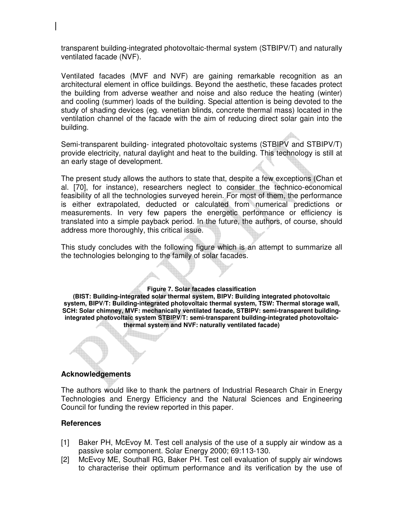transparent building-integrated photovoltaic-thermal system (STBIPV/T) and naturally ventilated facade (NVF).

Ventilated facades (MVF and NVF) are gaining remarkable recognition as an architectural element in office buildings. Beyond the aesthetic, these facades protect the building from adverse weather and noise and also reduce the heating (winter) and cooling (summer) loads of the building. Special attention is being devoted to the study of shading devices (eg. venetian blinds, concrete thermal mass) located in the ventilation channel of the facade with the aim of reducing direct solar gain into the building.

Semi-transparent building- integrated photovoltaic systems (STBIPV and STBIPV/T) provide electricity, natural daylight and heat to the building. This technology is still at an early stage of development.

The present study allows the authors to state that, despite a few exceptions (Chan et al. [70], for instance), researchers neglect to consider the technico-economical feasibility of all the technologies surveyed herein. For most of them, the performance is either extrapolated, deducted or calculated from numerical predictions or measurements. In very few papers the energetic performance or efficiency is translated into a simple payback period. In the future, the authors, of course, should address more thoroughly, this critical issue.

This study concludes with the following figure which is an attempt to summarize all the technologies belonging to the family of solar facades.

#### **Figure 7. Solar facades classification**

**(BIST: Building-integrated solar thermal system, BIPV: Building integrated photovoltaic system, BIPV/T: Building-integrated photovoltaic thermal system, TSW: Thermal storage wall, SCH: Solar chimney, MVF: mechanically ventilated facade, STBIPV: semi-transparent buildingintegrated photovoltaic system STBIPV/T: semi-transparent building-integrated photovoltaicthermal system and NVF: naturally ventilated facade)** 

#### **Acknowledgements**

The authors would like to thank the partners of Industrial Research Chair in Energy Technologies and Energy Efficiency and the Natural Sciences and Engineering Council for funding the review reported in this paper.

#### **References**

- [1] Baker PH, McEvoy M. Test cell analysis of the use of a supply air window as a passive solar component. Solar Energy 2000; 69:113-130.
- [2] McEvoy ME, Southall RG, Baker PH. Test cell evaluation of supply air windows to characterise their optimum performance and its verification by the use of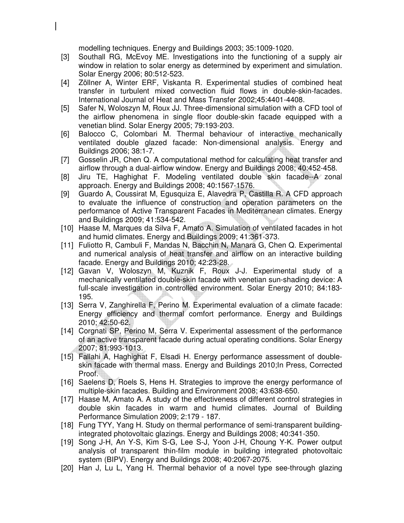modelling techniques. Energy and Buildings 2003; 35:1009-1020.

- [3] Southall RG, McEvoy ME. Investigations into the functioning of a supply air window in relation to solar energy as determined by experiment and simulation. Solar Energy 2006; 80:512-523.
- [4] Zöllner A, Winter ERF, Viskanta R. Experimental studies of combined heat transfer in turbulent mixed convection fluid flows in double-skin-facades. International Journal of Heat and Mass Transfer 2002;45:4401-4408.
- [5] Safer N, Woloszyn M, Roux JJ. Three-dimensional simulation with a CFD tool of the airflow phenomena in single floor double-skin facade equipped with a venetian blind. Solar Energy 2005; 79:193-203.
- [6] Balocco C, Colombari M. Thermal behaviour of interactive mechanically ventilated double glazed facade: Non-dimensional analysis. Energy and Buildings 2006; 38:1-7.
- [7] Gosselin JR, Chen Q. A computational method for calculating heat transfer and airflow through a dual-airflow window. Energy and Buildings 2008; 40:452-458.
- [8] Jiru TE, Haghighat F. Modeling ventilated double skin facade--A zonal approach. Energy and Buildings 2008; 40:1567-1576.
- [9] Guardo A, Coussirat M, Egusquiza E, Alavedra P, Castilla R. A CFD approach to evaluate the influence of construction and operation parameters on the performance of Active Transparent Facades in Mediterranean climates. Energy and Buildings 2009; 41:534-542.
- [10] Haase M, Marques da Silva F, Amato A. Simulation of ventilated facades in hot and humid climates. Energy and Buildings 2009; 41:361-373.
- [11] Fuliotto R, Cambuli F, Mandas N, Bacchin N, Manara G, Chen Q. Experimental and numerical analysis of heat transfer and airflow on an interactive building facade. Energy and Buildings 2010; 42:23-28.
- [12] Gavan V, Woloszyn M, Kuznik F, Roux J-J. Experimental study of a mechanically ventilated double-skin facade with venetian sun-shading device: A full-scale investigation in controlled environment. Solar Energy 2010; 84:183- 195.
- [13] Serra V, Zanghirella F, Perino M. Experimental evaluation of a climate facade: Energy efficiency and thermal comfort performance. Energy and Buildings 2010; 42:50-62.
- [14] Corgnati SP, Perino M, Serra V. Experimental assessment of the performance of an active transparent facade during actual operating conditions. Solar Energy 2007; 81:993-1013.
- [15] Fallahi A, Haghighat F, Elsadi H. Energy performance assessment of doubleskin facade with thermal mass. Energy and Buildings 2010;In Press, Corrected Proof.
- [16] Saelens D, Roels S, Hens H. Strategies to improve the energy performance of multiple-skin facades. Building and Environment 2008; 43:638-650.
- [17] Haase M, Amato A. A study of the effectiveness of different control strategies in double skin facades in warm and humid climates. Journal of Building Performance Simulation 2009; 2:179 - 187.
- [18] Fung TYY, Yang H. Study on thermal performance of semi-transparent buildingintegrated photovoltaic glazings. Energy and Buildings 2008; 40:341-350.
- [19] Song J-H, An Y-S, Kim S-G, Lee S-J, Yoon J-H, Choung Y-K. Power output analysis of transparent thin-film module in building integrated photovoltaic system (BIPV). Energy and Buildings 2008; 40:2067-2075.
- [20] Han J, Lu L, Yang H. Thermal behavior of a novel type see-through glazing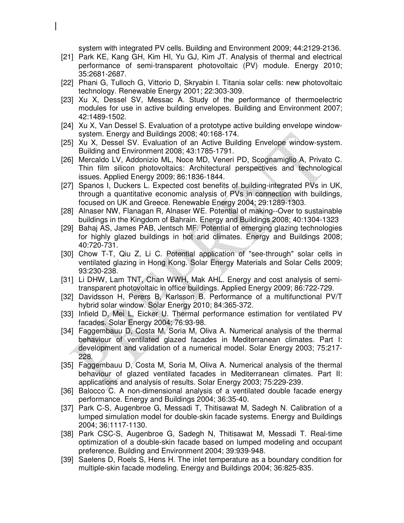system with integrated PV cells. Building and Environment 2009; 44:2129-2136.

- [21] Park KE, Kang GH, Kim HI, Yu GJ, Kim JT. Analysis of thermal and electrical performance of semi-transparent photovoltaic (PV) module. Energy 2010; 35:2681-2687.
- [22] Phani G, Tulloch G, Vittorio D, Skryabin I. Titania solar cells: new photovoltaic technology. Renewable Energy 2001; 22:303-309.
- [23] Xu X, Dessel SV, Messac A. Study of the performance of thermoelectric modules for use in active building envelopes. Building and Environment 2007; 42:1489-1502.
- [24] Xu X, Van Dessel S. Evaluation of a prototype active building envelope windowsystem. Energy and Buildings 2008; 40:168-174.
- [25] Xu X, Dessel SV. Evaluation of an Active Building Envelope window-system. Building and Environment 2008; 43:1785-1791.
- [26] Mercaldo LV, Addonizio ML, Noce MD, Veneri PD, Scognamiglio A, Privato C. Thin film silicon photovoltaics: Architectural perspectives and technological issues. Applied Energy 2009; 86:1836-1844.
- [27] Spanos I, Duckers L. Expected cost benefits of building-integrated PVs in UK, through a quantitative economic analysis of PVs in connection with buildings, focused on UK and Greece. Renewable Energy 2004; 29:1289-1303.
- [28] Alnaser NW, Flanagan R, Alnaser WE. Potential of making--Over to sustainable buildings in the Kingdom of Bahrain. Energy and Buildings 2008; 40:1304-1323
- [29] Bahaj AS, James PAB, Jentsch MF. Potential of emerging glazing technologies for highly glazed buildings in hot arid climates. Energy and Buildings 2008; 40:720-731.
- [30] Chow T-T, Qiu Z, Li C. Potential application of "see-through" solar cells in ventilated glazing in Hong Kong. Solar Energy Materials and Solar Cells 2009; 93:230-238.
- [31] Li DHW, Lam TNT, Chan WWH, Mak AHL. Energy and cost analysis of semitransparent photovoltaic in office buildings. Applied Energy 2009; 86:722-729.
- [32] Davidsson H, Perers B, Karlsson B. Performance of a multifunctional PV/T hybrid solar window. Solar Energy 2010; 84:365-372.
- [33] Infield D, Mei L, Eicker U. Thermal performance estimation for ventilated PV facades. Solar Energy 2004; 76:93-98.
- [34] Faggembauu D, Costa M, Soria M, Oliva A. Numerical analysis of the thermal behaviour of ventilated glazed facades in Mediterranean climates. Part I: development and validation of a numerical model. Solar Energy 2003; 75:217- 228.
- [35] Faggembauu D, Costa M, Soria M, Oliva A. Numerical analysis of the thermal behaviour of glazed ventilated facades in Mediterranean climates. Part II: applications and analysis of results. Solar Energy 2003; 75:229-239.
- [36] Balocco C. A non-dimensional analysis of a ventilated double facade energy performance. Energy and Buildings 2004; 36:35-40.
- [37] Park C-S, Augenbroe G, Messadi T, Thitisawat M, Sadegh N. Calibration of a lumped simulation model for double-skin facade systems. Energy and Buildings 2004; 36:1117-1130.
- [38] Park CSC-S, Augenbroe G, Sadegh N, Thitisawat M, Messadi T. Real-time optimization of a double-skin facade based on lumped modeling and occupant preference. Building and Environment 2004; 39:939-948.
- [39] Saelens D, Roels S, Hens H. The inlet temperature as a boundary condition for multiple-skin facade modeling. Energy and Buildings 2004; 36:825-835.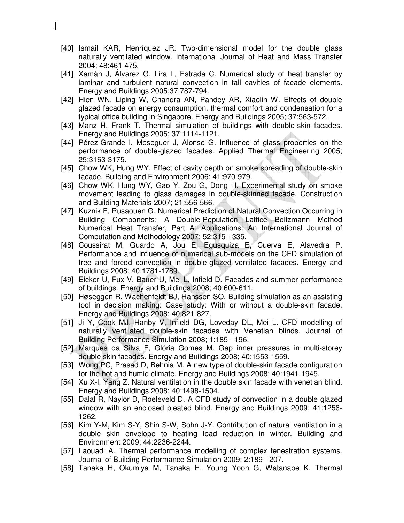- [40] Ismail KAR, Henríquez JR. Two-dimensional model for the double glass naturally ventilated window. International Journal of Heat and Mass Transfer 2004; 48:461-475.
- [41] Xamán J, Álvarez G, Lira L, Estrada C. Numerical study of heat transfer by laminar and turbulent natural convection in tall cavities of facade elements. Energy and Buildings 2005;37:787-794.
- [42] Hien WN, Liping W, Chandra AN, Pandey AR, Xiaolin W. Effects of double glazed facade on energy consumption, thermal comfort and condensation for a typical office building in Singapore. Energy and Buildings 2005; 37:563-572.
- [43] Manz H, Frank T. Thermal simulation of buildings with double-skin facades. Energy and Buildings 2005; 37:1114-1121.
- [44] Pérez-Grande I, Meseguer J, Alonso G. Influence of glass properties on the performance of double-glazed facades. Applied Thermal Engineering 2005; 25:3163-3175.
- [45] Chow WK, Hung WY. Effect of cavity depth on smoke spreading of double-skin facade. Building and Environment 2006; 41:970-979.
- [46] Chow WK, Hung WY, Gao Y, Zou G, Dong H. Experimental study on smoke movement leading to glass damages in double-skinned facade. Construction and Building Materials 2007; 21:556-566.
- [47] Kuznik F, Rusaouen G. Numerical Prediction of Natural Convection Occurring in Building Components: A Double-Population Lattice Boltzmann Method Numerical Heat Transfer, Part A: Applications: An International Journal of Computation and Methodology 2007; 52:315 - 335.
- [48] Coussirat M, Guardo A, Jou E, Egusquiza E, Cuerva E, Alavedra P. Performance and influence of numerical sub-models on the CFD simulation of free and forced convection in double-glazed ventilated facades. Energy and Buildings 2008; 40:1781-1789.
- [49] Eicker U, Fux V, Bauer U, Mei L, Infield D. Facades and summer performance of buildings. Energy and Buildings 2008; 40:600-611.
- [50] Høseggen R, Wachenfeldt BJ, Hanssen SO. Building simulation as an assisting tool in decision making: Case study: With or without a double-skin facade. Energy and Buildings 2008; 40:821-827.
- [51] Ji Y, Cook MJ, Hanby V, Infield DG, Loveday DL, Mei L. CFD modelling of naturally ventilated double-skin facades with Venetian blinds. Journal of Building Performance Simulation 2008; 1:185 - 196.
- [52] Marques da Silva F, Glória Gomes M. Gap inner pressures in multi-storey double skin facades. Energy and Buildings 2008; 40:1553-1559.
- [53] Wong PC, Prasad D, Behnia M. A new type of double-skin facade configuration for the hot and humid climate. Energy and Buildings 2008; 40:1941-1945.
- [54] Xu X-l, Yang Z. Natural ventilation in the double skin facade with venetian blind. Energy and Buildings 2008; 40:1498-1504.
- [55] Dalal R, Naylor D, Roeleveld D. A CFD study of convection in a double glazed window with an enclosed pleated blind. Energy and Buildings 2009; 41:1256- 1262.
- [56] Kim Y-M, Kim S-Y, Shin S-W, Sohn J-Y. Contribution of natural ventilation in a double skin envelope to heating load reduction in winter. Building and Environment 2009; 44:2236-2244.
- [57] Laouadi A. Thermal performance modelling of complex fenestration systems. Journal of Building Performance Simulation 2009; 2:189 - 207.
- [58] Tanaka H, Okumiya M, Tanaka H, Young Yoon G, Watanabe K. Thermal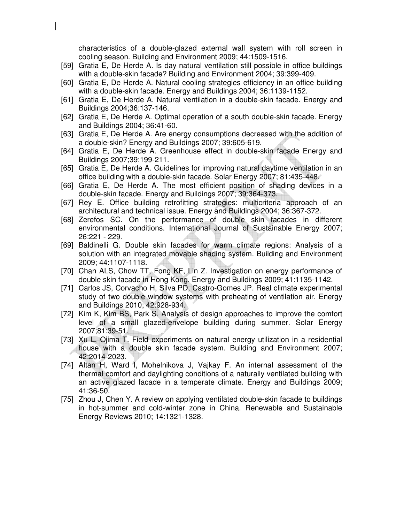characteristics of a double-glazed external wall system with roll screen in cooling season. Building and Environment 2009; 44:1509-1516.

- [59] Gratia E, De Herde A. Is day natural ventilation still possible in office buildings with a double-skin facade? Building and Environment 2004; 39:399-409.
- [60] Gratia E, De Herde A. Natural cooling strategies efficiency in an office building with a double-skin facade. Energy and Buildings 2004; 36:1139-1152.
- [61] Gratia E, De Herde A. Natural ventilation in a double-skin facade. Energy and Buildings 2004;36:137-146.
- [62] Gratia E, De Herde A. Optimal operation of a south double-skin facade. Energy and Buildings 2004; 36:41-60.
- [63] Gratia E, De Herde A. Are energy consumptions decreased with the addition of a double-skin? Energy and Buildings 2007; 39:605-619.
- [64] Gratia E, De Herde A. Greenhouse effect in double-skin facade Energy and Buildings 2007;39:199-211.
- [65] Gratia E, De Herde A. Guidelines for improving natural daytime ventilation in an office building with a double-skin facade. Solar Energy 2007; 81:435-448.
- [66] Gratia E, De Herde A. The most efficient position of shading devices in a double-skin facade. Energy and Buildings 2007; 39:364-373.
- [67] Rey E. Office building retrofitting strategies: multicriteria approach of an architectural and technical issue. Energy and Buildings 2004; 36:367-372.
- [68] Zerefos SC. On the performance of double skin facades in different environmental conditions. International Journal of Sustainable Energy 2007; 26:221 - 229.
- [69] Baldinelli G. Double skin facades for warm climate regions: Analysis of a solution with an integrated movable shading system. Building and Environment 2009; 44:1107-1118.
- [70] Chan ALS, Chow TT, Fong KF, Lin Z. Investigation on energy performance of double skin facade in Hong Kong. Energy and Buildings 2009; 41:1135-1142.
- [71] Carlos JS, Corvacho H, Silva PD, Castro-Gomes JP. Real climate experimental study of two double window systems with preheating of ventilation air. Energy and Buildings 2010; 42:928-934.
- [72] Kim K, Kim BS, Park S. Analysis of design approaches to improve the comfort level of a small glazed-envelope building during summer. Solar Energy 2007;81:39-51.
- [73] Xu L, Ojima T. Field experiments on natural energy utilization in a residential house with a double skin facade system. Building and Environment 2007; 42:2014-2023.
- [74] Altan H, Ward I, Mohelnikova J, Vajkay F. An internal assessment of the thermal comfort and daylighting conditions of a naturally ventilated building with an active glazed facade in a temperate climate. Energy and Buildings 2009; 41:36-50.
- [75] Zhou J, Chen Y. A review on applying ventilated double-skin facade to buildings in hot-summer and cold-winter zone in China. Renewable and Sustainable Energy Reviews 2010; 14:1321-1328.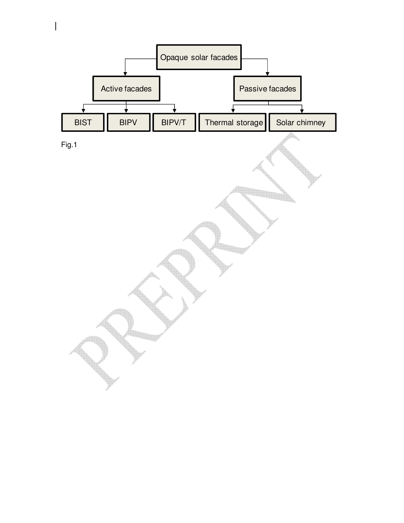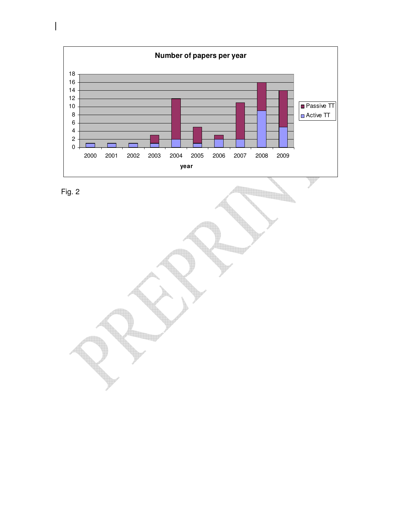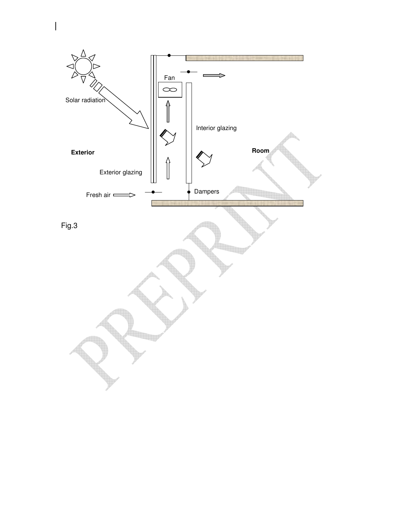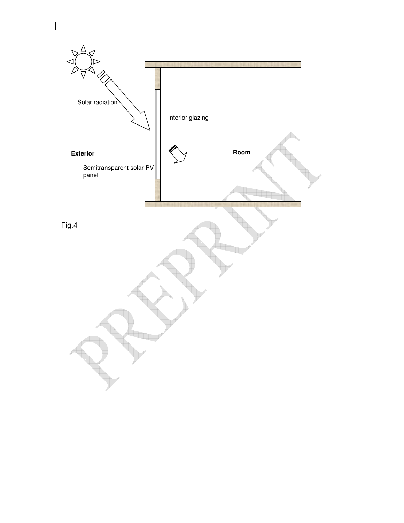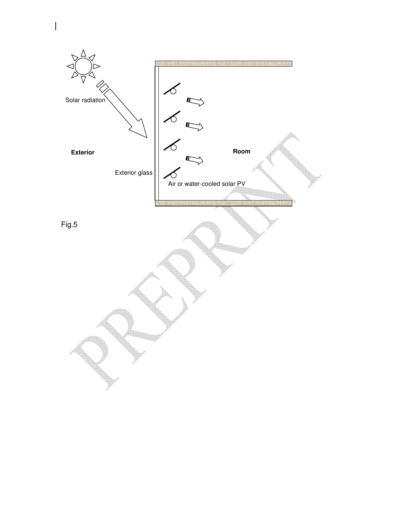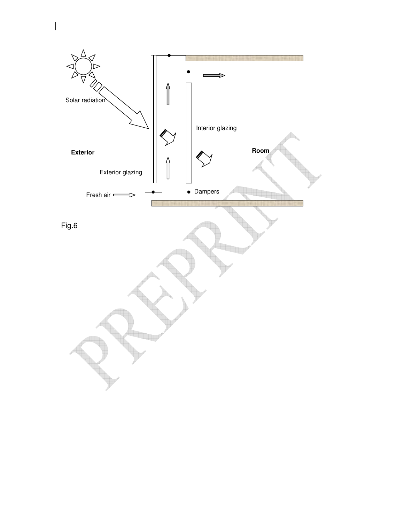